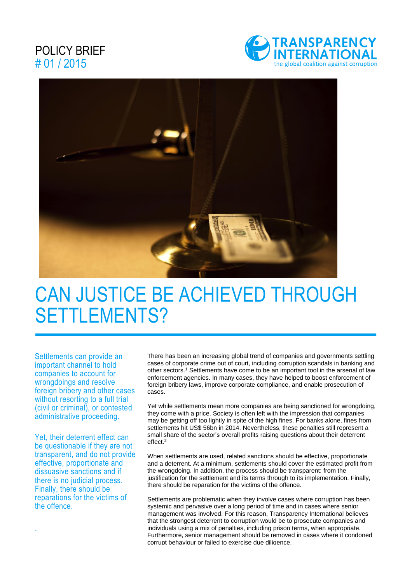## POLICY BRIEF # 01 / 2015





# CAN JUSTICE BE ACHIEVED THROUGH SETTLEMENTS?

Settlements can provide an important channel to hold companies to account for wrongdoings and resolve foreign bribery and other cases without resorting to a full trial (civil or criminal), or contested administrative proceeding.

Yet, their deterrent effect can be questionable if they are not transparent, and do not provide effective, proportionate and dissuasive sanctions and if there is no judicial process. Finally, there should be reparations for the victims of the offence.

.

There has been an increasing global trend of companies and governments settling cases of corporate crime out of court, including corruption scandals in banking and other sectors.<sup>1</sup> Settlements have come to be an important tool in the arsenal of law enforcement agencies. In many cases, they have helped to boost enforcement of foreign bribery laws, improve corporate compliance, and enable prosecution of cases.

Yet while settlements mean more companies are being sanctioned for wrongdoing, they come with a price. Society is often left with the impression that companies may be getting off too lightly in spite of the high fines. For banks alone, fines from settlements hit US\$ 56bn in 2014. Nevertheless, these penalties still represent a small share of the sector's overall profits raising questions about their deterrent effect.<sup>2</sup>

When settlements are used, related sanctions should be effective, proportionate and a deterrent. At a minimum, settlements should cover the estimated profit from the wrongdoing. In addition, the process should be transparent: from the justification for the settlement and its terms through to its implementation. Finally, there should be reparation for the victims of the offence.

Settlements are problematic when they involve cases where corruption has been systemic and pervasive over a long period of time and in cases where senior management was involved. For this reason, Transparency International believes that the strongest deterrent to corruption would be to prosecute companies and individuals using a mix of penalties, including prison terms, when appropriate. Furthermore, senior management should be removed in cases where it condoned corrupt behaviour or failed to exercise due diligence.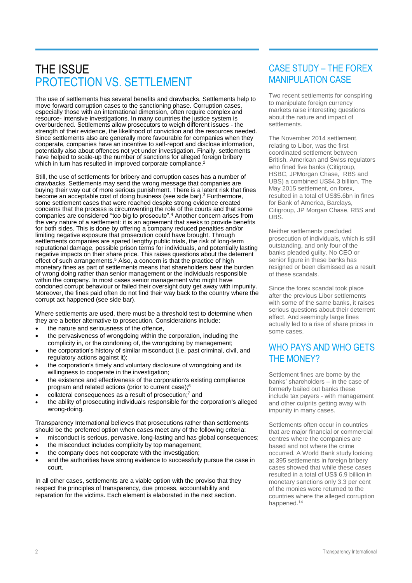# THE ISSUE PROTECTION VS. SETTLEMENT

The use of settlements has several benefits and drawbacks. Settlements help to move forward corruption cases to the sanctioning phase. Corruption cases, especially those with an international dimension, often require complex and resource- intensive investigations. In many countries the justice system is overburdened. Settlements allow prosecutors to weigh different issues - the strength of their evidence, the likelihood of conviction and the resources needed. Since settlements also are generally more favourable for companies when they cooperate, companies have an incentive to self-report and disclose information, potentially also about offences not yet under investigation. Finally, settlements have helped to scale-up the number of sanctions for alleged foreign bribery which in turn has resulted in improved corporate compliance.<sup>2</sup>

Still, the use of settlements for bribery and corruption cases has a number of drawbacks. Settlements may send the wrong message that companies are buying their way out of more serious punishment. There is a latent risk that fines become an acceptable cost of doing business (see side bar). <sup>3</sup> Furthermore, some settlement cases that were reached despite strong evidence created concerns that the process is circumventing the role of the courts and that some companies are considered "too big to prosecute".<sup>4</sup> Another concern arises from the very nature of a settlement: it is an agreement that seeks to provide benefits for both sides. This is done by offering a company reduced penalties and/or limiting negative exposure that prosecution could have brought. Through settlements companies are spared lengthy public trials, the risk of long-term reputational damage, possible prison terms for individuals, and potentially lasting negative impacts on their share price. This raises questions about the deterrent effect of such arrangements.<sup>5</sup> Also, a concern is that the practice of high monetary fines as part of settlements means that shareholders bear the burden of wrong doing rather than senior management or the individuals responsible within the company. In most cases senior management who might have condoned corrupt behaviour or failed their oversight duty get away with impunity. Moreover, the fines paid often do not find their way back to the country where the corrupt act happened (see side bar).

Where settlements are used, there must be a threshold test to determine when they are a better alternative to prosecution. Considerations include:

- the nature and seriousness of the offence,
- the pervasiveness of wrongdoing within the corporation, including the complicity in, or the condoning of, the wrongdoing by management;
- the corporation's history of similar misconduct (i.e. past criminal, civil, and regulatory actions against it);
- the corporation's timely and voluntary disclosure of wrongdoing and its willingness to cooperate in the investigation;
- the existence and effectiveness of the corporation's existing compliance program and related actions (prior to current case); 6
- collateral consequences as a result of prosecution;<sup>7</sup> and
- the ability of prosecuting individuals responsible for the corporation's alleged wrong-doing.

Transparency International believes that prosecutions rather than settlements should be the preferred option when cases meet any of the following criteria:

- misconduct is serious, pervasive, long-lasting and has global consequences;
- the misconduct includes complicity by top management;
- the company does not cooperate with the investigation;
- and the authorities have strong evidence to successfully pursue the case in court.

In all other cases, settlements are a viable option with the proviso that they respect the principles of transparency, due process, accountability and reparation for the victims. Each element is elaborated in the next section.

### CASE STUDY – THE FOREX MANIPULATION CASE

Two recent settlements for conspiring to manipulate foreign currency markets raise interesting questions about the nature and impact of settlements.

The November 2014 settlement, relating to Libor, was the first coordinated settlement between British, American and Swiss regulators who fined five banks (Citigroup, HSBC, JPMorgan Chase, RBS and UBS) a combined US\$4.3 billion. The May 2015 settlement, on forex, resulted in a total of US\$5.6bn in fines for Bank of America, Barclays, Citigroup, JP Morgan Chase, RBS and UBS.

Neither settlements precluded prosecution of individuals, which is still outstanding, and only four of the banks pleaded guilty. No CEO or senior figure in these banks has resigned or been dismissed as a result of these scandals.

Since the forex scandal took place after the previous Libor settlements with some of the same banks, it raises serious questions about their deterrent effect. And seemingly large fines actually led to a rise of share prices in some cases.

### WHO PAYS AND WHO GETS THE MONEY?

Settlement fines are borne by the banks' shareholders – in the case of formerly bailed out banks these include tax payers - with management and other culprits getting away with impunity in many cases.

Settlements often occur in countries that are major financial or commercial centres where the companies are based and not where the crime occurred. A World Bank study looking at 395 settlements in foreign bribery cases showed that while these cases resulted in a total of US\$ 6.9 billion in monetary sanctions only 3.3 per cent of the monies were returned to the countries where the alleged corruption happened.<sup>14</sup>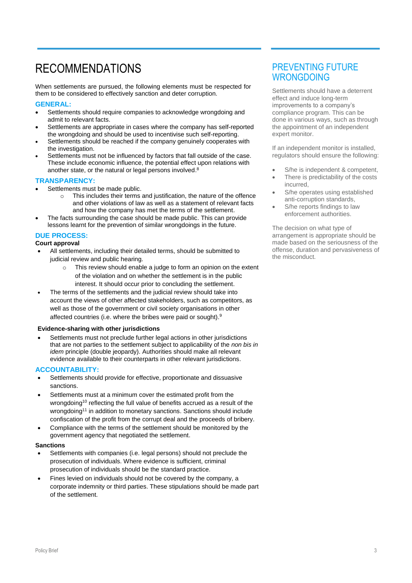# RECOMMENDATIONS

When settlements are pursued, the following elements must be respected for them to be considered to effectively sanction and deter corruption.

#### **GENERAL:**

- Settlements should require companies to acknowledge wrongdoing and admit to relevant facts.
- Settlements are appropriate in cases where the company has self-reported the wrongdoing and should be used to incentivise such self-reporting.
- Settlements should be reached if the company genuinely cooperates with the investigation.
- Settlements must not be influenced by factors that fall outside of the case. These include economic influence, the potential effect upon relations with another state, or the natural or legal persons involved. 8

#### **TRANSPARENCY:**

- Settlements must be made public.
	- o This includes their terms and justification, the nature of the offence and other violations of law as well as a statement of relevant facts and how the company has met the terms of the settlement.
- The facts surrounding the case should be made public. This can provide lessons learnt for the prevention of similar wrongdoings in the future.

#### **DUE PROCESS:**

#### **Court approval**

- All settlements, including their detailed terms, should be submitted to judicial review and public hearing.
	- o This review should enable a judge to form an opinion on the extent of the violation and on whether the settlement is in the public interest. It should occur prior to concluding the settlement.
- The terms of the settlements and the judicial review should take into account the views of other affected stakeholders, such as competitors, as well as those of the government or civil society organisations in other affected countries (i.e. where the bribes were paid or sought). 9

#### **Evidence-sharing with other jurisdictions**

 Settlements must not preclude further legal actions in other jurisdictions that are not parties to the settlement subject to applicability of the *non bis in idem* principle (double jeopardy). Authorities should make all relevant evidence available to their counterparts in other relevant jurisdictions.

#### **ACCOUNTABILITY:**

- Settlements should provide for effective, proportionate and dissuasive sanctions.
- Settlements must at a minimum cover the estimated profit from the wrongdoing<sup>10</sup> reflecting the full value of benefits accrued as a result of the wrongdoing<sup>11</sup> in addition to monetary sanctions. Sanctions should include confiscation of the profit from the corrupt deal and the proceeds of bribery.
- Compliance with the terms of the settlement should be monitored by the government agency that negotiated the settlement.

#### **Sanctions**

- Settlements with companies (i.e. legal persons) should not preclude the prosecution of individuals. Where evidence is sufficient, criminal prosecution of individuals should be the standard practice.
- Fines levied on individuals should not be covered by the company, a corporate indemnity or third parties. These stipulations should be made part of the settlement.

### PREVENTING FUTURE **WRONGDOING**

Settlements should have a deterrent effect and induce long-term improvements to a company's compliance program. This can be done in various ways, such as through the appointment of an independent expert monitor.

If an independent monitor is installed, regulators should ensure the following:

- S/he is independent & competent,
- There is predictability of the costs incurred,
- S/he operates using established anti-corruption standards,
- S/he reports findings to law enforcement authorities.

The decision on what type of arrangement is appropriate should be made based on the seriousness of the offense, duration and pervasiveness of the misconduct.